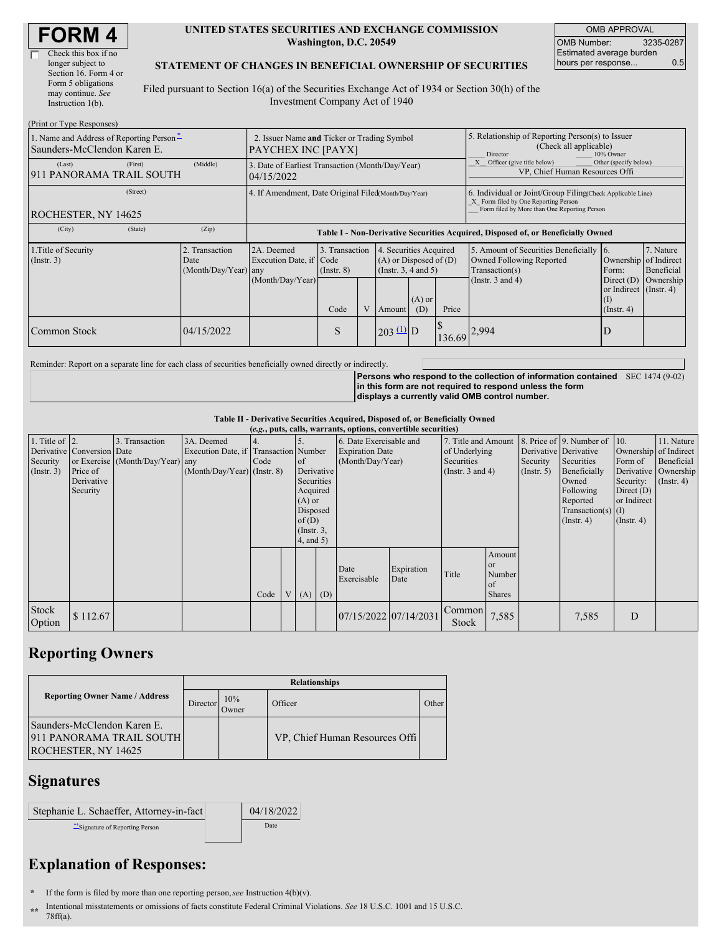| Check this box if no  |
|-----------------------|
| longer subject to     |
| Section 16. Form 4 or |
| Form 5 obligations    |
| may continue. See     |
| Instruction $1(b)$ .  |
|                       |

#### **UNITED STATES SECURITIES AND EXCHANGE COMMISSION Washington, D.C. 20549**

OMB APPROVAL OMB Number: 3235-0287 Estimated average burden hours per response... 0.5

#### **STATEMENT OF CHANGES IN BENEFICIAL OWNERSHIP OF SECURITIES**

Filed pursuant to Section 16(a) of the Securities Exchange Act of 1934 or Section 30(h) of the Investment Company Act of 1940

| (Print or Type Responses)                                               |                                                                   |                                                                                  |                         |                                                                                                                                               |                       |  |                                                                                                     |                                                                                                                                                    |                                                                                         |                                                     |  |
|-------------------------------------------------------------------------|-------------------------------------------------------------------|----------------------------------------------------------------------------------|-------------------------|-----------------------------------------------------------------------------------------------------------------------------------------------|-----------------------|--|-----------------------------------------------------------------------------------------------------|----------------------------------------------------------------------------------------------------------------------------------------------------|-----------------------------------------------------------------------------------------|-----------------------------------------------------|--|
| 1. Name and Address of Reporting Person-<br>Saunders-McClendon Karen E. | 2. Issuer Name and Ticker or Trading Symbol<br>PAYCHEX INC [PAYX] |                                                                                  |                         |                                                                                                                                               |                       |  | 5. Relationship of Reporting Person(s) to Issuer<br>(Check all applicable)<br>Director<br>10% Owner |                                                                                                                                                    |                                                                                         |                                                     |  |
| (Last)<br>(First)<br>911 PANORAMA TRAIL SOUTH                           | (Middle)                                                          | 3. Date of Earliest Transaction (Month/Day/Year)<br>04/15/2022                   |                         |                                                                                                                                               |                       |  | Other (specify below)<br>Officer (give title below)<br>VP, Chief Human Resources Offi               |                                                                                                                                                    |                                                                                         |                                                     |  |
| (Street)<br><b>ROCHESTER, NY 14625</b>                                  |                                                                   | 4. If Amendment, Date Original Filed Month/Day/Year)                             |                         |                                                                                                                                               |                       |  |                                                                                                     | 6. Individual or Joint/Group Filing Check Applicable Line)<br>X Form filed by One Reporting Person<br>Form filed by More than One Reporting Person |                                                                                         |                                                     |  |
| (City)<br>(State)                                                       | (Zip)                                                             | Table I - Non-Derivative Securities Acquired, Disposed of, or Beneficially Owned |                         |                                                                                                                                               |                       |  |                                                                                                     |                                                                                                                                                    |                                                                                         |                                                     |  |
| 1. Title of Security<br>$($ Instr. 3 $)$                                | 2. Transaction<br>Date<br>$(Month/Day/Year)$ any                  | 2A. Deemed<br>Execution Date, if Code<br>(Month/Day/Year)                        | $($ Instr. $8)$<br>Code | 4. Securities Acquired<br>3. Transaction<br>$(A)$ or Disposed of $(D)$<br>(Instr. $3, 4$ and $5$ )<br>$(A)$ or<br>V<br>Price<br>(D)<br>Amount |                       |  |                                                                                                     | 5. Amount of Securities Beneficially 6.<br>Owned Following Reported<br>Transaction(s)<br>(Instr. $3$ and $4$ )                                     | Ownership<br>Form:<br>Direct $(D)$<br>or Indirect (Instr. 4)<br>(I)<br>$($ Instr. 4 $)$ | 7. Nature<br>of Indirect<br>Beneficial<br>Ownership |  |
| Common Stock                                                            | 04/15/2022                                                        |                                                                                  | S                       |                                                                                                                                               | $203 \underline{u}$ D |  | 136.69                                                                                              | 2,994                                                                                                                                              | D                                                                                       |                                                     |  |

Reminder: Report on a separate line for each class of securities beneficially owned directly or indirectly.

**Persons who respond to the collection of information contained** SEC 1474 (9-02) **in this form are not required to respond unless the form displays a currently valid OMB control number.**

**Table II - Derivative Securities Acquired, Disposed of, or Beneficially Owned**

| (e.g., puts, calls, warrants, options, convertible securities) |                                |                                  |                                       |      |  |                        |                  |                           |                                        |                        |                       |                  |                              |              |                  |
|----------------------------------------------------------------|--------------------------------|----------------------------------|---------------------------------------|------|--|------------------------|------------------|---------------------------|----------------------------------------|------------------------|-----------------------|------------------|------------------------------|--------------|------------------|
| 1. Title of $\vert$ 2.                                         |                                | 3. Transaction                   | 3A. Deemed                            |      |  |                        |                  | 6. Date Exercisable and   |                                        | 7. Title and Amount    |                       |                  | 8. Price of 9. Number of 10. |              | 11. Nature       |
|                                                                | Derivative   Conversion   Date |                                  | Execution Date, if Transaction Number |      |  | <b>Expiration Date</b> |                  | of Underlying             |                                        |                        | Derivative Derivative |                  | Ownership of Indirect        |              |                  |
| Security                                                       |                                | or Exercise (Month/Day/Year) any |                                       | Code |  | <sub>of</sub>          | (Month/Day/Year) |                           |                                        | Securities<br>Security |                       | Securities       | Form of                      | Beneficial   |                  |
| $($ Instr. 3 $)$                                               | Price of                       |                                  | $(Month/Day/Year)$ (Instr. 8)         |      |  | Derivative             |                  |                           | (Instr. $3$ and $4$ )<br>$($ Instr. 5) |                        | Beneficially          |                  | Derivative Ownership         |              |                  |
|                                                                | Derivative                     |                                  |                                       |      |  | Securities             |                  |                           |                                        |                        |                       |                  | Owned                        | Security:    | $($ Instr. 4 $)$ |
|                                                                | Security                       |                                  |                                       |      |  | Acquired               |                  |                           |                                        |                        |                       |                  | Following                    | Direct $(D)$ |                  |
|                                                                |                                |                                  |                                       |      |  | $(A)$ or               |                  |                           |                                        |                        |                       |                  | Reported                     | or Indirect  |                  |
|                                                                |                                |                                  |                                       |      |  | Disposed               |                  |                           |                                        |                        |                       |                  | Transaction(s) $(I)$         |              |                  |
|                                                                |                                |                                  |                                       |      |  | of(D)                  |                  |                           |                                        |                        |                       | $($ Instr. 4 $)$ | $($ Instr. 4 $)$             |              |                  |
|                                                                |                                |                                  |                                       |      |  |                        | $($ Instr. $3,$  |                           |                                        |                        |                       |                  |                              |              |                  |
|                                                                |                                |                                  |                                       |      |  | $4$ , and $5$ )        |                  |                           |                                        |                        |                       |                  |                              |              |                  |
|                                                                |                                |                                  |                                       |      |  |                        |                  |                           |                                        |                        | Amount                |                  |                              |              |                  |
|                                                                |                                |                                  |                                       |      |  |                        |                  |                           |                                        |                        | <b>or</b>             |                  |                              |              |                  |
|                                                                |                                |                                  |                                       |      |  |                        |                  | Date<br>Exercisable       | Expiration<br>Date                     | Title                  | Number                |                  |                              |              |                  |
|                                                                |                                |                                  |                                       |      |  |                        |                  |                           |                                        |                        | of                    |                  |                              |              |                  |
|                                                                |                                |                                  |                                       | Code |  | $(A)$ $(D)$            |                  |                           |                                        |                        | <b>Shares</b>         |                  |                              |              |                  |
| <b>Stock</b><br>Option                                         | \$112.67                       |                                  |                                       |      |  |                        |                  | $07/15/2022$ $07/14/2031$ |                                        | Common<br>Stock        | 7,585                 |                  | 7,585                        | D            |                  |

# **Reporting Owners**

|                                                                                | <b>Relationships</b> |              |                                |       |  |  |  |  |  |  |
|--------------------------------------------------------------------------------|----------------------|--------------|--------------------------------|-------|--|--|--|--|--|--|
| <b>Reporting Owner Name / Address</b>                                          | Director             | 10%<br>Jwner | Officer                        | Other |  |  |  |  |  |  |
| Saunders-McClendon Karen E.<br>911 PANORAMA TRAIL SOUTH<br>ROCHESTER, NY 14625 |                      |              | VP, Chief Human Resources Offi |       |  |  |  |  |  |  |

### **Signatures**

| Stephanie L. Schaeffer, Attorney-in-fact | 04/18/2022 |
|------------------------------------------|------------|
| Signature of Reporting Person            | Date       |

# **Explanation of Responses:**

- **\*** If the form is filed by more than one reporting person,*see* Instruction 4(b)(v).
- **\*\*** Intentional misstatements or omissions of facts constitute Federal Criminal Violations. *See* 18 U.S.C. 1001 and 15 U.S.C. 78ff(a).